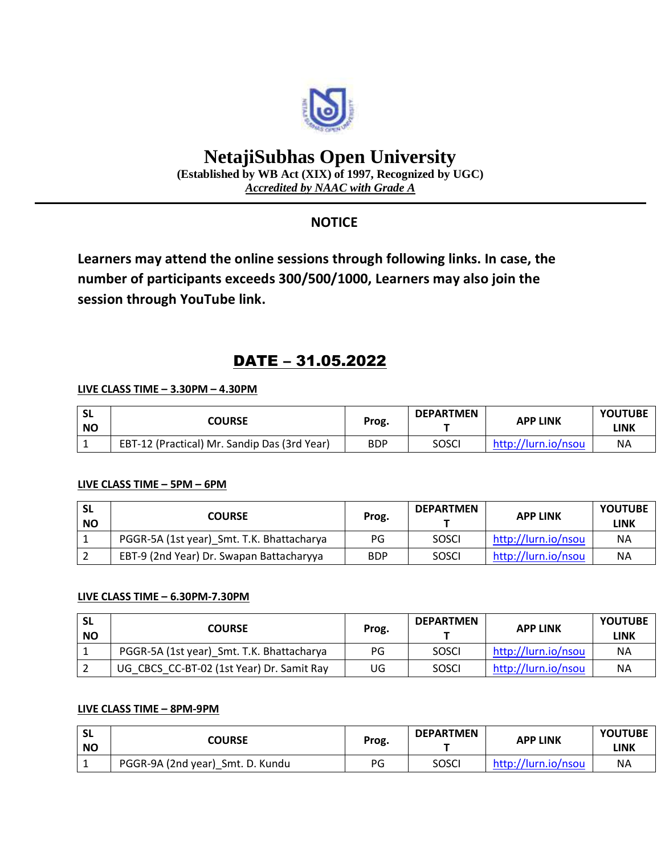

# **NetajiSubhas Open University**

**(Established by WB Act (XIX) of 1997, Recognized by UGC)** *Accredited by NAAC with Grade A*

# **NOTICE**

**Learners may attend the online sessions through following links. In case, the number of participants exceeds 300/500/1000, Learners may also join the session through YouTube link.**

# DATE – 31.05.2022

## **LIVE CLASS TIME – 3.30PM – 4.30PM**

| <b>SL</b><br><b>NO</b> | <b>COURSE</b>                                | Prog.      | <b>DEPARTMEN</b> | <b>APP LINK</b>     | <b>YOUTUBE</b><br>LINK |
|------------------------|----------------------------------------------|------------|------------------|---------------------|------------------------|
|                        | EBT-12 (Practical) Mr. Sandip Das (3rd Year) | <b>BDP</b> | SOSCI            | http://lurn.io/nsou | <b>NA</b>              |

### **LIVE CLASS TIME – 5PM – 6PM**

| -SL<br><b>NO</b> | <b>COURSE</b>                             | Prog.      | <b>DEPARTMEN</b> | <b>APP LINK</b>     | <b>YOUTUBE</b><br><b>LINK</b> |
|------------------|-------------------------------------------|------------|------------------|---------------------|-------------------------------|
|                  | PGGR-5A (1st year) Smt. T.K. Bhattacharya | PG         | SOSCI            | http://lurn.io/nsou | <b>NA</b>                     |
|                  | EBT-9 (2nd Year) Dr. Swapan Battacharyya  | <b>BDP</b> | SOSCI            | http://lurn.io/nsou | <b>NA</b>                     |

### **LIVE CLASS TIME – 6.30PM-7.30PM**

| <b>SL</b><br><b>NO</b> | <b>COURSE</b>                             | Prog. | <b>DEPARTMEN</b> | <b>APP LINK</b>     | <b>YOUTUBE</b><br><b>LINK</b> |
|------------------------|-------------------------------------------|-------|------------------|---------------------|-------------------------------|
|                        | PGGR-5A (1st year) Smt. T.K. Bhattacharya | PG    | <b>SOSCI</b>     | http://lurn.io/nsou | <b>NA</b>                     |
|                        | UG CBCS CC-BT-02 (1st Year) Dr. Samit Ray | UG    | SOSCI            | http://lurn.io/nsou | ΝA                            |

#### **LIVE CLASS TIME – 8PM-9PM**

| <b>SL</b><br><b>NO</b> | COURSE                           | Prog. | <b>DEPARTMEN</b> | <b>APP LINK</b>     | <b>YOUTUBE</b><br>LINK |
|------------------------|----------------------------------|-------|------------------|---------------------|------------------------|
|                        | PGGR-9A (2nd year) Smt. D. Kundu | PG    | SOSCI            | http://lurn.io/nsou | NΑ                     |